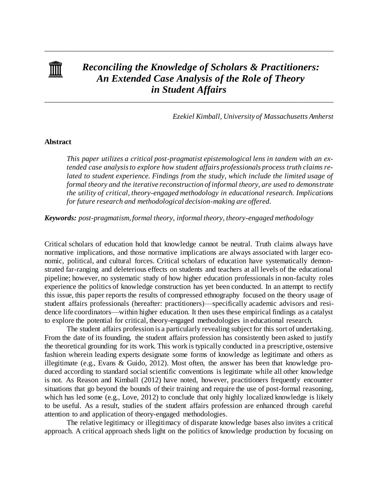

# *Reconciling the Knowledge of Scholars & Practitioners: An Extended Case Analysis of the Role of Theory in Student Affairs*

\_\_\_\_\_\_\_\_\_\_\_\_\_\_\_\_\_\_\_\_\_\_\_\_\_\_\_\_\_\_\_\_\_\_\_\_\_\_\_\_\_\_\_\_\_\_\_\_\_\_\_\_\_\_\_\_\_\_\_\_\_\_\_\_\_\_\_\_\_\_\_\_\_\_\_\_\_\_

\_\_\_\_\_\_\_\_\_\_\_\_\_\_\_\_\_\_\_\_\_\_\_\_\_\_\_\_\_\_\_\_\_\_\_\_\_\_\_\_\_\_\_\_\_\_\_\_\_\_\_\_\_\_\_\_\_\_\_\_\_\_\_\_\_\_\_\_\_\_\_\_\_\_\_\_\_\_

*Ezekiel Kimball, University of Massachusetts Amherst*

# **Abstract**

*This paper utilizes a critical post-pragmatist epistemological lens in tandem with an extended case analysis to explore how student affairs professionals process truth claims re*lated to student experience. Findings from the study, which include the limited usage of *formal theory and the iterative reconstruction of informal theory, are used to demonstrate the utility of critical, theory-engaged methodology in educational research. Implications for future research and methodological decision-making are offered.*

*Keywords: post-pragmatism, formal theory, informal theory, theory-engaged methodology*

Critical scholars of education hold that knowledge cannot be neutral. Truth claims always have normative implications, and those normative implications are always associated with larger economic, political, and cultural forces. Critical scholars of education have systematically demonstrated far-ranging and deleterious effects on students and teachers at all levels of the educational pipeline; however, no systematic study of how higher education professionals in non-faculty roles experience the politics of knowledge construction has yet been conducted. In an attempt to rectify this issue, this paper reports the results of compressed ethnography focused on the theory usage of student affairs professionals (hereafter: practitioners)—specifically academic advisors and residence life coordinators—within higher education. It then uses these empirical findings as a catalyst to explore the potential for critical, theory-engaged methodologies in educational research.

The student affairs profession is a particularly revealing subject for this sort of undertaking. From the date of its founding, the student affairs profession has consistently been asked to justify the theoretical grounding for its work. This work is typically conducted in a prescriptive, ostensive fashion wherein leading experts designate some forms of knowledge as legitimate and others as illegitimate (e.g., Evans & Guido, 2012). Most often, the answer has been that knowledge produced according to standard social scientific conventions is legitimate while all other knowledge is not. As Reason and Kimball (2012) have noted, however, practitioners frequently encounter situations that go beyond the bounds of their training and require the use of post-formal reasoning, which has led some (e.g., Love, 2012) to conclude that only highly localized knowledge is likely to be useful. As a result, studies of the student affairs profession are enhanced through careful attention to and application of theory-engaged methodologies.

The relative legitimacy or illegitimacy of disparate knowledge bases also invites a critical approach. A critical approach sheds light on the politics of knowledge production by focusing on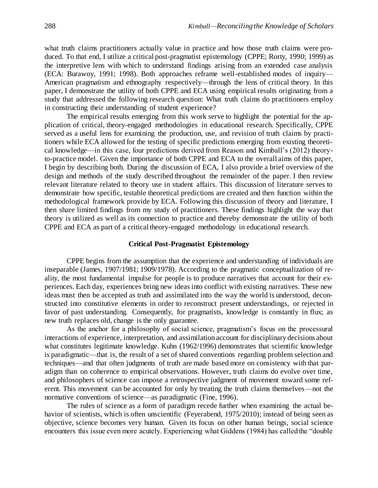what truth claims practitioners actually value in practice and how those truth claims were produced. To that end, I utilize a critical post-pragmatist epistemology (CPPE; Rorty, 1990; 1999) as the interpretive lens with which to understand findings arising from an extended case analysis (ECA: Burawoy, 1991; 1998). Both approaches reframe well-established modes of inquiry— American pragmatism and ethnography respectively—through the lens of critical theory. In this paper, I demonstrate the utility of both CPPE and ECA using empirical results originating from a study that addressed the following research question: What truth claims do practitioners employ in constructing their understanding of student experience?

The empirical results emerging from this work serve to highlight the potential for the application of critical, theory-engaged methodologies in educational research. Specifically, CPPE served as a useful lens for examining the production, use, and revision of truth claims by practitioners while ECA allowed for the testing of specific predictions emerging from existing theoretical knowledge—in this case, four predictions derived from Reason and Kimball's (2012) theoryto-practice model. Given the importance of both CPPE and ECA to the overall aims of this paper, I begin by describing both. During the discussion of ECA, I also provide a brief overview of the design and methods of the study described throughout the remainder of the paper. I then review relevant literature related to theory use in student affairs. This discussion of literature serves to demonstrate how specific, testable theoretical predictions are created and then function within the methodological framework provide by ECA. Following this discussion of theory and literature, I then share limited findings from my study of practitioners. These findings highlight the way that theory is utilized as well as its connection to practice and thereby demonstrate the utility of both CPPE and ECA as part of a critical theory-engaged methodology in educational research.

## **Critical Post-Pragmatist Epistemology**

CPPE begins from the assumption that the experience and understanding of individuals are inseparable (James, 1907/1981; 1909/1978). According to the pragmatic conceptualization of reality, the most fundamental impulse for people is to produce narratives that account for their experiences. Each day, experiences bring new ideas into conflict with existing narratives. These new ideas must then be accepted as truth and assimilated into the way the world is understood, deconstructed into constitutive elements in order to reconstruct present understandings, or rejected in favor of past understanding. Consequently, for pragmatists, knowledge is constantly in flux; as new truth replaces old, change is the only guarantee.

As the anchor for a philosophy of social science, pragmatism's focus on the processural interactions of experience, interpretation, and assimilation account for disciplinary decisions about what constitutes legitimate knowledge. Kuhn (1962/1996) demonstrates that scientific knowledge is paradigmatic—that is, the result of a set of shared conventions regarding problem selection and techniques—and that often judgments of truth are made based more on consistency with that paradigm than on coherence to empirical observations. However, truth claims do evolve over time, and philosophers of science can impose a retrospective judgment of movement toward some referent. This movement can be accounted for only by treating the truth claims themselves—not the normative conventions of science—as paradigmatic (Fine, 1996).

The rules of science as a form of paradigm recede further when examining the actual behavior of scientists, which is often unscientific (Feyerabend, 1975/2010); instead of being seen as objective, science becomes very human. Given its focus on other human beings, social science encounters this issue even more acutely. Experiencing what Giddens (1984) has called the "double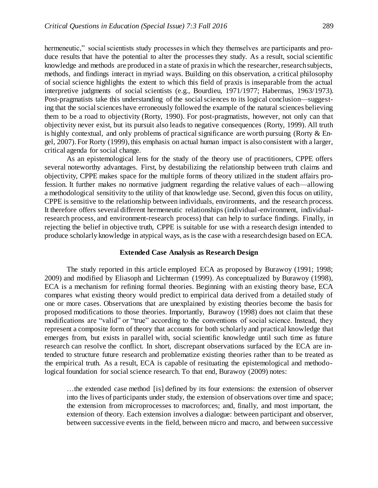hermeneutic," social scientists study processes in which they themselves are participants and produce results that have the potential to alter the processes they study. As a result, social scientific knowledge and methods are produced in a state of praxis in which the researcher, research subjects, methods, and findings interact in myriad ways. Building on this observation, a critical philosophy of social science highlights the extent to which this field of praxis is inseparable from the actual interpretive judgments of social scientists (e.g., Bourdieu, 1971/1977; Habermas, 1963/1973). Post-pragmatists take this understanding of the social sciences to its logical conclusion—suggesting that the social sciences have erroneously followed the example of the natural sciences believing them to be a road to objectivity (Rorty, 1990). For post-pragmatists, however, not only can that objectivity never exist, but its pursuit also leads to negative consequences (Rorty, 1999). All truth is highly contextual, and only problems of practical significance are worth pursuing (Rorty & Engel, 2007). For Rorty (1999), this emphasis on actual human impact is also consistent with a larger, critical agenda for social change.

As an epistemological lens for the study of the theory use of practitioners, CPPE offers several noteworthy advantages. First, by destabilizing the relationship between truth claims and objectivity, CPPE makes space for the multiple forms of theory utilized in the student affairs profession. It further makes no normative judgment regarding the relative values of each—allowing a methodological sensitivity to the utility of that knowledge use. Second, given this focus on utility, CPPE is sensitive to the relationship between individuals, environments, and the research process. It therefore offers several different hermeneutic relationships (individual-environment, individualresearch process, and environment-research process) that can help to surface findings. Finally, in rejecting the belief in objective truth, CPPE is suitable for use with a research design intended to produce scholarly knowledge in atypical ways, as is the case with a research design based on ECA.

## **Extended Case Analysis as Research Design**

The study reported in this article employed ECA as proposed by Burawoy (1991; 1998; 2009) and modified by Eliasoph and Lichterman (1999). As conceptualized by Burawoy (1998), ECA is a mechanism for refining formal theories. Beginning with an existing theory base, ECA compares what existing theory would predict to empirical data derived from a detailed study of one or more cases. Observations that are unexplained by existing theories become the basis for proposed modifications to those theories. Importantly, Burawoy (1998) does not claim that these modifications are "valid" or "true" according to the conventions of social science. Instead, they represent a composite form of theory that accounts for both scholarly and practical knowledge that emerges from, but exists in parallel with, social scientific knowledge until such time as future research can resolve the conflict. In short, discrepant observations surfaced by the ECA are intended to structure future research and problematize existing theories rather than to be treated as the empirical truth. As a result, ECA is capable of resituating the epistemological and methodological foundation for social science research. To that end, Burawoy (2009) notes:

…the extended case method [is] defined by its four extensions: the extension of observer into the lives of participants under study, the extension of observations over time and space; the extension from microprocesses to macroforces; and, finally, and most important, the extension of theory. Each extension involves a dialogue: between participant and observer, between successive events in the field, between micro and macro, and between successive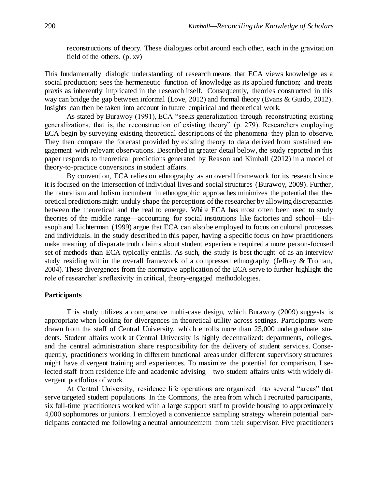reconstructions of theory. These dialogues orbit around each other, each in the gravitation field of the others. (p. xv)

This fundamentally dialogic understanding of research means that ECA views knowledge as a social production; sees the hermeneutic function of knowledge as its applied function; and treats praxis as inherently implicated in the research itself. Consequently, theories constructed in this way can bridge the gap between informal (Love, 2012) and formal theory (Evans & Guido, 2012). Insights can then be taken into account in future empirical and theoretical work.

As stated by Burawoy (1991), ECA "seeks generalization through reconstructing existing generalizations, that is, the reconstruction of existing theory" (p. 279). Researchers employing ECA begin by surveying existing theoretical descriptions of the phenomena they plan to observe. They then compare the forecast provided by existing theory to data derived from sustained engagement with relevant observations. Described in greater detail below, the study reported in this paper responds to theoretical predictions generated by Reason and Kimball (2012) in a model of theory-to-practice conversions in student affairs.

By convention, ECA relies on ethnography as an overall framework for its research since it is focused on the intersection of individual lives and social structures (Burawoy, 2009). Further, the naturalism and holism incumbent in ethnographic approaches minimizes the potential that theoretical predictions might unduly shape the perceptions of the researcher by allowing discrepancies between the theoretical and the real to emerge. While ECA has most often been used to study theories of the middle range—accounting for social institutions like factories and school—Eliasoph and Lichterman (1999) argue that ECA can also be employed to focus on cultural processes and individuals. In the study described in this paper, having a specific focus on how practitioners make meaning of disparate truth claims about student experience required a more person-focused set of methods than ECA typically entails. As such, the study is best thought of as an interview study residing within the overall framework of a compressed ethnography (Jeffrey & Troman, 2004). These divergences from the normative application of the ECA serve to further highlight the role of researcher's reflexivity in critical, theory-engaged methodologies.

#### **Participants**

This study utilizes a comparative multi-case design, which Burawoy (2009) suggests is appropriate when looking for divergences in theoretical utility across settings. Participants were drawn from the staff of Central University, which enrolls more than 25,000 undergraduate students. Student affairs work at Central University is highly decentralized: departments, colleges, and the central administration share responsibility for the delivery of student services. Consequently, practitioners working in different functional areas under different supervisory structures might have divergent training and experiences. To maximize the potential for comparison, I selected staff from residence life and academic advising—two student affairs units with widely divergent portfolios of work.

At Central University, residence life operations are organized into several "areas" that serve targeted student populations. In the Commons, the area from which I recruited participants, six full-time practitioners worked with a large support staff to provide housing to approximately 4,000 sophomores or juniors. I employed a convenience sampling strategy wherein potential participants contacted me following a neutral announcement from their supervisor. Five practitioners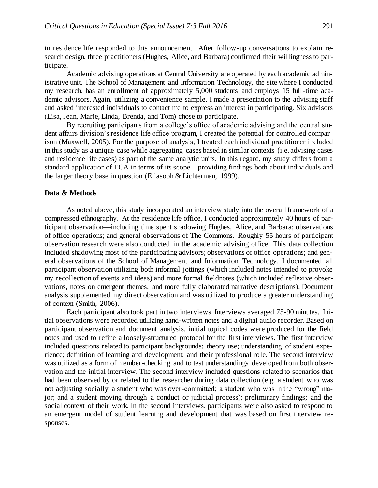in residence life responded to this announcement. After follow-up conversations to explain research design, three practitioners (Hughes, Alice, and Barbara) confirmed their willingness to participate.

Academic advising operations at Central University are operated by each academic administrative unit. The School of Management and Information Technology, the site where I conducted my research, has an enrollment of approximately 5,000 students and employs 15 full-time academic advisors. Again, utilizing a convenience sample, I made a presentation to the advising staff and asked interested individuals to contact me to express an interest in participating. Six advisors (Lisa, Jean, Marie, Linda, Brenda, and Tom) chose to participate.

By recruiting participants from a college's office of academic advising and the central student affairs division's residence life office program, I created the potential for controlled comparison (Maxwell, 2005). For the purpose of analysis, I treated each individual practitioner included in this study as a unique case while aggregating cases based in similar contexts (i.e. advising cases and residence life cases) as part of the same analytic units. In this regard, my study differs from a standard application of ECA in terms of its scope—providing findings both about individuals and the larger theory base in question (Eliasoph & Lichterman, 1999).

## **Data & Methods**

As noted above, this study incorporated an interview study into the overall framework of a compressed ethnography. At the residence life office, I conducted approximately 40 hours of participant observation—including time spent shadowing Hughes, Alice, and Barbara; observations of office operations; and general observations of The Commons. Roughly 55 hours of participant observation research were also conducted in the academic advising office. This data collection included shadowing most of the participating advisors; observations of office operations; and general observations of the School of Management and Information Technology. I documented all participant observation utilizing both informal jottings (which included notes intended to provoke my recollection of events and ideas) and more formal fieldnotes (which included reflexive observations, notes on emergent themes, and more fully elaborated narrative descriptions). Document analysis supplemented my direct observation and was utilized to produce a greater understanding of context (Smith, 2006).

Each participant also took part in two interviews. Interviews averaged 75-90 minutes. Initial observations were recorded utilizing hand-written notes and a digital audio recorder. Based on participant observation and document analysis, initial topical codes were produced for the field notes and used to refine a loosely-structured protocol for the first interviews. The first interview included questions related to participant backgrounds; theory use; understanding of student experience; definition of learning and development; and their professional role. The second interview was utilized as a form of member-checking and to test understandings developed from both observation and the initial interview. The second interview included questions related to scenarios that had been observed by or related to the researcher during data collection (e.g. a student who was not adjusting socially; a student who was over-committed; a student who was in the "wrong" major; and a student moving through a conduct or judicial process); preliminary findings; and the social context of their work. In the second interviews, participants were also asked to respond to an emergent model of student learning and development that was based on first interview responses.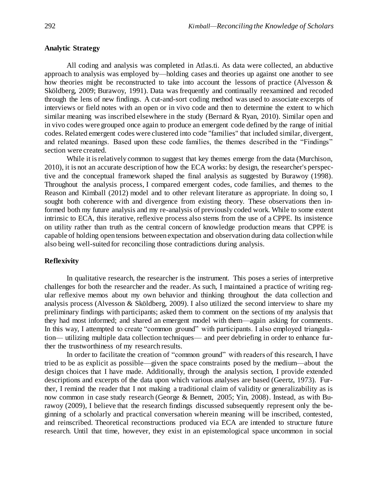# **Analytic Strategy**

All coding and analysis was completed in Atlas.ti. As data were collected, an abductive approach to analysis was employed by—holding cases and theories up against one another to see how theories might be reconstructed to take into account the lessons of practice (Alvesson & Sköldberg, 2009; Burawoy, 1991). Data was frequently and continually reexamined and recoded through the lens of new findings. A cut-and-sort coding method was used to associate excerpts of interviews or field notes with an open or in vivo code and then to determine the extent to which similar meaning was inscribed elsewhere in the study (Bernard & Ryan, 2010). Similar open and in vivo codes were grouped once again to produce an emergent code defined by the range of initial codes. Related emergent codes were clustered into code "families" that included similar, divergent, and related meanings. Based upon these code families, the themes described in the "Findings" section were created.

While it is relatively common to suggest that key themes emerge from the data (Murchison, 2010), it is not an accurate description of how the ECA works: by design, the researcher's perspective and the conceptual framework shaped the final analysis as suggested by Burawoy (1998). Throughout the analysis process, I compared emergent codes, code families, and themes to the Reason and Kimball (2012) model and to other relevant literature as appropriate. In doing so, I sought both coherence with and divergence from existing theory. These observations then informed both my future analysis and my re-analysis of previously coded work. While to some extent intrinsic to ECA, this iterative, reflexive process also stems from the use of a CPPE. Its insistence on utility rather than truth as the central concern of knowledge production means that CPPE is capable of holding open tensions between expectation and observation during data collection while also being well-suited for reconciling those contradictions during analysis.

## **Reflexivity**

In qualitative research, the researcher is the instrument. This poses a series of interpretive challenges for both the researcher and the reader. As such, I maintained a practice of writing regular reflexive memos about my own behavior and thinking throughout the data collection and analysis process (Alvesson & Sköldberg, 2009). I also utilized the second interview to share my preliminary findings with participants; asked them to comment on the sections of my analysis that they had most informed; and shared an emergent model with them—again asking for comments. In this way, I attempted to create "common ground" with participants. I also employed triangulation— utilizing multiple data collection techniques— and peer debriefing in order to enhance further the trustworthiness of my research results.

In order to facilitate the creation of "common ground" with readers of this research, I have tried to be as explicit as possible—given the space constraints posed by the medium—about the design choices that I have made. Additionally, through the analysis section, I provide extended descriptions and excerpts of the data upon which various analyses are based (Geertz, 1973). Further, I remind the reader that I not making a traditional claim of validity or generalizability as is now common in case study research (George & Bennett, 2005; Yin, 2008). Instead, as with Burawoy (2009), I believe that the research findings discussed subsequently represent only the beginning of a scholarly and practical conversation wherein meaning will be inscribed, contested, and reinscribed. Theoretical reconstructions produced via ECA are intended to structure future research. Until that time, however, they exist in an epistemological space uncommon in social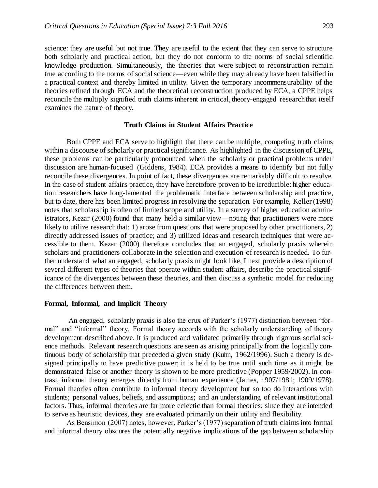science: they are useful but not true. They are useful to the extent that they can serve to structure both scholarly and practical action, but they do not conform to the norms of social scientific knowledge production. Simultaneously, the theories that were subject to reconstruction remain true according to the norms of social science—even while they may already have been falsified in a practical context and thereby limited in utility. Given the temporary incommensurability of the theories refined through ECA and the theoretical reconstruction produced by ECA, a CPPE helps reconcile the multiply signified truth claims inherent in critical, theory-engaged research that itself examines the nature of theory.

## **Truth Claims in Student Affairs Practice**

Both CPPE and ECA serve to highlight that there can be multiple, competing truth claims within a discourse of scholarly or practical significance. As highlighted in the discussion of CPPE, these problems can be particularly pronounced when the scholarly or practical problems under discussion are human-focused (Giddens, 1984). ECA provides a means to identify but not fully reconcile these divergences. In point of fact, these divergences are remarkably difficult to resolve. In the case of student affairs practice, they have heretofore proven to be irreducible: higher education researchers have long-lamented the problematic interface between scholarship and practice, but to date, there has been limited progress in resolving the separation. For example, Keller (1998) notes that scholarship is often of limited scope and utility. In a survey of higher education administrators, Kezar (2000) found that many held a similar view—noting that practitioners were more likely to utilize research that: 1) arose from questions that were proposed by other practitioners, 2) directly addressed issues of practice; and 3) utilized ideas and research techniques that were accessible to them. Kezar (2000) therefore concludes that an engaged, scholarly praxis wherein scholars and practitioners collaborate in the selection and execution of research is needed. To further understand what an engaged, scholarly praxis might look like, I next provide a description of several different types of theories that operate within student affairs, describe the practical significance of the divergences between these theories, and then discuss a synthetic model for reducing the differences between them.

## **Formal, Informal, and Implicit Theory**

An engaged, scholarly praxis is also the crux of Parker's (1977) distinction between "formal" and "informal" theory. Formal theory accords with the scholarly understanding of theory development described above. It is produced and validated primarily through rigorous social science methods. Relevant research questions are seen as arising principally from the logically continuous body of scholarship that preceded a given study (Kuhn, 1962/1996). Such a theory is designed principally to have predictive power; it is held to be true until such time as it might be demonstrated false or another theory is shown to be more predictive (Popper 1959/2002). In contrast, informal theory emerges directly from human experience (James, 1907/1981; 1909/1978). Formal theories often contribute to informal theory development but so too do interactions with students; personal values, beliefs, and assumptions; and an understanding of relevant institutional factors. Thus, informal theories are far more eclectic than formal theories; since they are intended to serve as heuristic devices, they are evaluated primarily on their utility and flexibility.

As Bensimon (2007) notes, however, Parker's (1977) separation of truth claims into formal and informal theory obscures the potentially negative implications of the gap between scholarship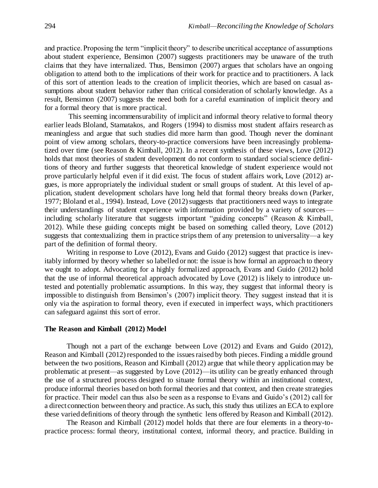and practice. Proposing the term "implicit theory" to describe uncritical acceptance of assumptions about student experience, Bensimon (2007) suggests practitioners may be unaware of the truth claims that they have internalized. Thus, Bensimon (2007) argues that scholars have an ongoing obligation to attend both to the implications of their work for practice and to practitioners. A lack of this sort of attention leads to the creation of implicit theories, which are based on casual assumptions about student behavior rather than critical consideration of scholarly knowledge. As a result, Bensimon (2007) suggests the need both for a careful examination of implicit theory and for a formal theory that is more practical.

This seeming incommensurability of implicit and informal theory relative to formal theory earlier leads Bloland, Stamatakos, and Rogers (1994) to dismiss most student affairs research as meaningless and argue that such studies did more harm than good. Though never the dominant point of view among scholars, theory-to-practice conversions have been increasingly problematized over time (see Reason & Kimball, 2012). In a recent synthesis of these views, Love (2012) holds that most theories of student development do not conform to standard social science definitions of theory and further suggests that theoretical knowledge of student experience would not prove particularly helpful even if it did exist. The focus of student affairs work, Love (2012) argues, is more appropriately the individual student or small groups of student. At this level of application, student development scholars have long held that formal theory breaks down (Parker, 1977; Bloland et al., 1994). Instead, Love (2012) suggests that practitioners need ways to integrate their understandings of student experience with information provided by a variety of sources including scholarly literature that suggests important "guiding concepts" (Reason & Kimball, 2012). While these guiding concepts might be based on something called theory, Love (2012) suggests that contextualizing them in practice strips them of any pretension to universality—a key part of the definition of formal theory.

Writing in response to Love (2012), Evans and Guido (2012) suggest that practice is inevitably informed by theory whether so labelled or not: the issue is how formal an approach to theory we ought to adopt. Advocating for a highly formalized approach, Evans and Guido (2012) hold that the use of informal theoretical approach advocated by Love (2012) is likely to introduce untested and potentially problematic assumptions. In this way, they suggest that informal theory is impossible to distinguish from Bensimon's (2007) implicit theory. They suggest instead that it is only via the aspiration to formal theory, even if executed in imperfect ways, which practitioners can safeguard against this sort of error.

## **The Reason and Kimball (2012) Model**

Though not a part of the exchange between Love (2012) and Evans and Guido (2012), Reason and Kimball (2012) responded to the issues raised by both pieces. Finding a middle ground between the two positions, Reason and Kimball (2012) argue that while theory application may be problematic at present—as suggested by Love (2012)—its utility can be greatly enhanced through the use of a structured process designed to situate formal theory within an institutional context, produce informal theories based on both formal theories and that context, and then create strategies for practice. Their model can thus also be seen as a response to Evans and Guido's (2012) call for a direct connection between theory and practice. As such, this study thus utilizes an ECA to explore these varied definitions of theory through the synthetic lens offered by Reason and Kimball (2012).

The Reason and Kimball (2012) model holds that there are four elements in a theory-topractice process: formal theory, institutional context, informal theory, and practice. Building in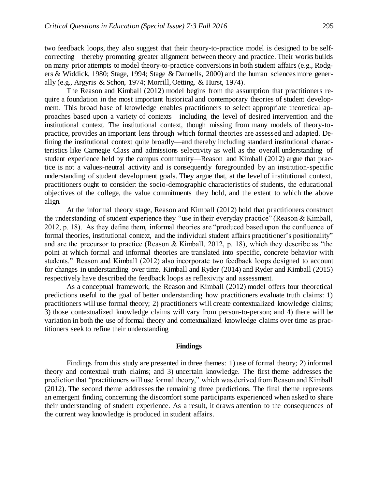two feedback loops, they also suggest that their theory-to-practice model is designed to be selfcorrecting—thereby promoting greater alignment between theory and practice. Their works builds on many prior attempts to model theory-to-practice conversions in both student affairs (e.g., Rodgers & Widdick, 1980; Stage, 1994; Stage & Dannells, 2000) and the human sciences more generally (e.g., Argyris & Schon, 1974; Morrill, Oetting, & Hurst, 1974).

The Reason and Kimball (2012) model begins from the assumption that practitioners require a foundation in the most important historical and contemporary theories of student development. This broad base of knowledge enables practitioners to select appropriate theoretical approaches based upon a variety of contexts—including the level of desired intervention and the institutional context. The institutional context, though missing from many models of theory-topractice, provides an important lens through which formal theories are assessed and adapted. Defining the institutional context quite broadly—and thereby including standard institutional characteristics like Carnegie Class and admissions selectivity as well as the overall understanding of student experience held by the campus community—Reason and Kimball (2012) argue that practice is not a values-neutral activity and is consequently foregrounded by an institution-specific understanding of student development goals. They argue that, at the level of institutional context, practitioners ought to consider: the socio-demographic characteristics of students, the educational objectives of the college, the value commitments they hold, and the extent to which the above align.

At the informal theory stage, Reason and Kimball (2012) hold that practitioners construct the understanding of student experience they "use in their everyday practice" (Reason & Kimball, 2012, p. 18). As they define them, informal theories are "produced based upon the confluence of formal theories, institutional context, and the individual student affairs practitioner's positionality" and are the precursor to practice (Reason & Kimball, 2012, p. 18), which they describe as "the point at which formal and informal theories are translated into specific, concrete behavior with students." Reason and Kimball (2012) also incorporate two feedback loops designed to account for changes in understanding over time. Kimball and Ryder (2014) and Ryder and Kimball (2015) respectively have described the feedback loops as reflexivity and assessment.

As a conceptual framework, the Reason and Kimball (2012) model offers four theoretical predictions useful to the goal of better understanding how practitioners evaluate truth claims: 1) practitioners will use formal theory; 2) practitioners will create contextualized knowledge claims; 3) those contextualized knowledge claims will vary from person-to-person; and 4) there will be variation in both the use of formal theory and contextualized knowledge claims over time as practitioners seek to refine their understanding

## **Findings**

Findings from this study are presented in three themes: 1) use of formal theory; 2) informal theory and contextual truth claims; and 3) uncertain knowledge. The first theme addresses the prediction that "practitioners will use formal theory," which was derived from Reason and Kimball (2012). The second theme addresses the remaining three predictions. The final theme represents an emergent finding concerning the discomfort some participants experienced when asked to share their understanding of student experience. As a result, it draws attention to the consequences of the current way knowledge is produced in student affairs.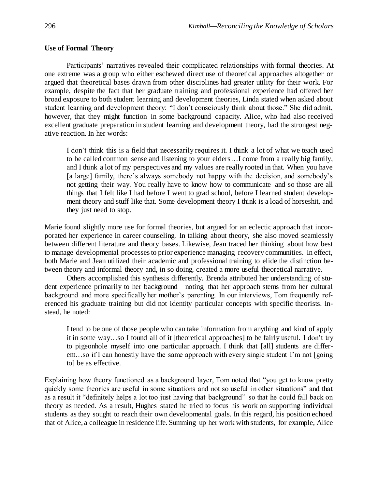# **Use of Formal Theory**

Participants' narratives revealed their complicated relationships with formal theories. At one extreme was a group who either eschewed direct use of theoretical approaches altogether or argued that theoretical bases drawn from other disciplines had greater utility for their work. For example, despite the fact that her graduate training and professional experience had offered her broad exposure to both student learning and development theories, Linda stated when asked about student learning and development theory: "I don't consciously think about those." She did admit, however, that they might function in some background capacity. Alice, who had also received excellent graduate preparation in student learning and development theory, had the strongest negative reaction. In her words:

I don't think this is a field that necessarily requires it. I think a lot of what we teach used to be called common sense and listening to your elders…I come from a really big family, and I think a lot of my perspectives and my values are really rooted in that. When you have [a large] family, there's always somebody not happy with the decision, and somebody's not getting their way. You really have to know how to communicate and so those are all things that I felt like I had before I went to grad school, before I learned student development theory and stuff like that. Some development theory I think is a load of horseshit, and they just need to stop.

Marie found slightly more use for formal theories, but argued for an eclectic approach that incorporated her experience in career counseling. In talking about theory, she also moved seamlessly between different literature and theory bases. Likewise, Jean traced her thinking about how best to manage developmental processes to prior experience managing recovery communities. In effect, both Marie and Jean utilized their academic and professional training to elide the distinction between theory and informal theory and, in so doing, created a more useful theoretical narrative.

Others accomplished this synthesis differently. Brenda attributed her understanding of student experience primarily to her background—noting that her approach stems from her cultural background and more specifically her mother's parenting. In our interviews, Tom frequently referenced his graduate training but did not identity particular concepts with specific theorists. Instead, he noted:

I tend to be one of those people who can take information from anything and kind of apply it in some way…so I found all of it [theoretical approaches] to be fairly useful. I don't try to pigeonhole myself into one particular approach. I think that [all] students are different…so if I can honestly have the same approach with every single student I'm not [going to] be as effective.

Explaining how theory functioned as a background layer, Tom noted that "you get to know pretty quickly some theories are useful in some situations and not so useful in other situations" and that as a result it "definitely helps a lot too just having that background" so that he could fall back on theory as needed. As a result, Hughes stated he tried to focus his work on supporting individual students as they sought to reach their own developmental goals. In this regard, his position echoed that of Alice, a colleague in residence life. Summing up her work with students, for example, Alice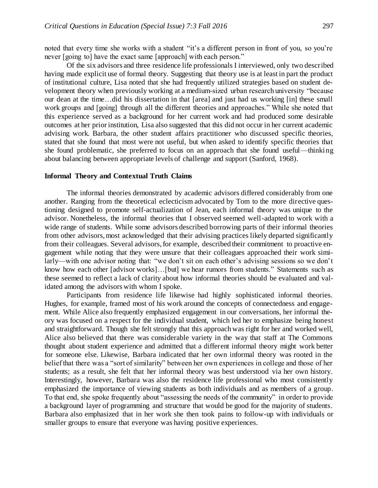noted that every time she works with a student "it's a different person in front of you, so you're never [going to] have the exact same [approach] with each person."

Of the six advisors and three residence life professionals I interviewed, only two described having made explicit use of formal theory. Suggesting that theory use is at least in part the product of institutional culture, Lisa noted that she had frequently utilized strategies based on student development theory when previously working at a medium-sized urban research university "because our dean at the time…did his dissertation in that [area] and just had us working [in] these small work groups and [going] through all the different theories and approaches." While she noted that this experience served as a background for her current work and had produced some desirable outcomes at her prior institution, Lisa also suggested that this did not occur in her current academic advising work. Barbara, the other student affairs practitioner who discussed specific theories, stated that she found that most were not useful, but when asked to identify specific theories that she found problematic, she preferred to focus on an approach that she found useful—thinking about balancing between appropriate levels of challenge and support (Sanford, 1968).

## **Informal Theory and Contextual Truth Claims**

The informal theories demonstrated by academic advisors differed considerably from one another. Ranging from the theoretical eclecticism advocated by Tom to the more directive questioning designed to promote self-actualization of Jean, each informal theory was unique to the advisor. Nonetheless, the informal theories that I observed seemed well-adapted to work with a wide range of students. While some advisors described borrowing parts of their informal theories from other advisors, most acknowledged that their advising practices likely departed significantly from their colleagues. Several advisors, for example, described their commitment to proactive engagement while noting that they were unsure that their colleagues approached their work similarly—with one advisor noting that: "we don't sit on each other's advising sessions so we don't know how each other [advisor works]...[but] we hear rumors from students." Statements such as these seemed to reflect a lack of clarity about how informal theories should be evaluated and validated among the advisors with whom I spoke.

Participants from residence life likewise had highly sophisticated informal theories. Hughes, for example, framed most of his work around the concepts of connectedness and engagement. While Alice also frequently emphasized engagement in our conversations, her informal theory was focused on a respect for the individual student, which led her to emphasize being honest and straightforward. Though she felt strongly that this approach was right for her and worked well, Alice also believed that there was considerable variety in the way that staff at The Commons thought about student experience and admitted that a different informal theory might work better for someone else. Likewise, Barbara indicated that her own informal theory was rooted in the belief that there was a "sort of similarity" between her own experiences in college and those of her students; as a result, she felt that her informal theory was best understood via her own history. Interestingly, however, Barbara was also the residence life professional who most consistently emphasized the importance of viewing students as both individuals and as members of a group. To that end, she spoke frequently about "assessing the needs of the community" in order to provide a background layer of programming and structure that would be good for the majority of students. Barbara also emphasized that in her work she then took pains to follow-up with individuals or smaller groups to ensure that everyone was having positive experiences.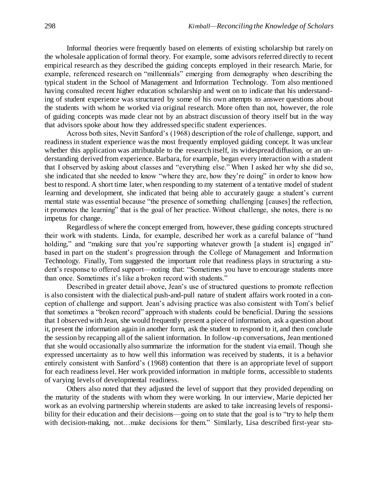Informal theories were frequently based on elements of existing scholarship but rarely on the wholesale application of formal theory. For example, some advisors referred directly to recent empirical research as they described the guiding concepts employed in their research. Marie, for example, referenced research on "millennials" emerging from demography when describing the typical student in the School of Management and Information Technology. Tom also mentioned having consulted recent higher education scholarship and went on to indicate that his understanding of student experience was structured by some of his own attempts to answer questions about the students with whom he worked via original research. More often than not, however, the role of guiding concepts was made clear not by an abstract discussion of theory itself but in the way that advisors spoke about how they addressed specific student experiences.

Across both sites, Nevitt Sanford's (1968) description of the role of challenge, support, and readiness in student experience was the most frequently employed guiding concept. It was unclear whether this application was attributable to the research itself, its widespread diffusion, or an understanding derived from experience. Barbara, for example, began every interaction with a student that I observed by asking about classes and "everything else." When I asked her why she did so, she indicated that she needed to know "where they are, how they're doing" in order to know how best to respond. A short time later, when responding to my statement of a tentative model of student learning and development, she indicated that being able to accurately gauge a student's current mental state was essential because "the presence of something challenging [causes] the reflection, it promotes the learning" that is the goal of her practice. Without challenge, she notes, there is no impetus for change.

Regardless of where the concept emerged from, however, these guiding concepts structured their work with students. Linda, for example, described her work as a careful balance of "hand holding," and "making sure that you're supporting whatever growth [a student is] engaged in" based in part on the student's progression through the College of Management and Information Technology. Finally, Tom suggested the important role that readiness plays in structuring a student's response to offered support—noting that: "Sometimes you have to encourage students more than once. Sometimes it's like a broken record with students."

Described in greater detail above, Jean's use of structured questions to promote reflection is also consistent with the dialectical push-and-pull nature of student affairs work rooted in a conception of challenge and support. Jean's advising practice was also consistent with Tom's belief that sometimes a "broken record" approach with students could be beneficial. During the sessions that I observed with Jean, she would frequently present a piece of information, ask a question about it, present the information again in another form, ask the student to respond to it, and then conclude the session by recapping all of the salient information. In follow-up conversations, Jean mentioned that she would occasionally also summarize the information for the student via email. Though she expressed uncertainty as to how well this information was received by students, it is a behavior entirely consistent with Sanford's (1968) contention that there is an appropriate level of support for each readiness level. Her work provided information in multiple forms, accessible to students of varying levels of developmental readiness.

Others also noted that they adjusted the level of support that they provided depending on the maturity of the students with whom they were working. In our interview, Marie depicted her work as an evolving partnership wherein students are asked to take increasing levels of responsibility for their education and their decisions—going on to state that the goal is to "try to help them with decision-making, not…make decisions for them." Similarly, Lisa described first-year stu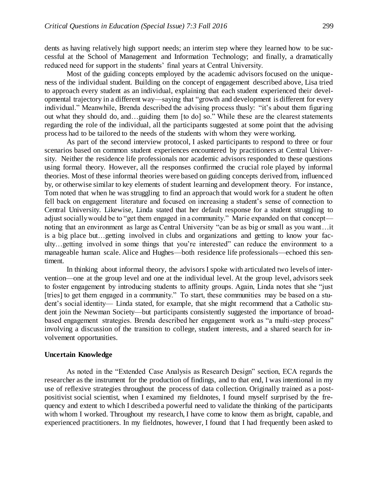dents as having relatively high support needs; an interim step where they learned how to be successful at the School of Management and Information Technology; and finally, a dramatically reduced need for support in the students' final years at Central University.

Most of the guiding concepts employed by the academic advisors focused on the uniqueness of the individual student. Building on the concept of engagement described above, Lisa tried to approach every student as an individual, explaining that each student experienced their developmental trajectory in a different way—saying that "growth and development is different for every individual." Meanwhile, Brenda described the advising process thusly: "it's about them figuring out what they should do, and…guiding them [to do] so." While these are the clearest statements regarding the role of the individual, all the participants suggested at some point that the advising process had to be tailored to the needs of the students with whom they were working.

As part of the second interview protocol, I asked participants to respond to three or four scenarios based on common student experiences encountered by practitioners at Central University. Neither the residence life professionals nor academic advisors responded to these questions using formal theory. However, all the responses confirmed the crucial role played by informal theories. Most of these informal theories were based on guiding concepts derived from, influenced by, or otherwise similar to key elements of student learning and development theory. For instance, Tom noted that when he was struggling to find an approach that would work for a student he often fell back on engagement literature and focused on increasing a student's sense of connection to Central University. Likewise, Linda stated that her default response for a student struggling to adjust socially would be to "get them engaged in a community." Marie expanded on that concept noting that an environment as large as Central University "can be as big or small as you want…it is a big place but…getting involved in clubs and organizations and getting to know your faculty…getting involved in some things that you're interested" can reduce the environment to a manageable human scale. Alice and Hughes—both residence life professionals—echoed this sentiment.

In thinking about informal theory, the advisors I spoke with articulated two levels of intervention—one at the group level and one at the individual level. At the group level, advisors seek to foster engagement by introducing students to affinity groups. Again, Linda notes that she "just [tries] to get them engaged in a community." To start, these communities may be based on a student's social identity— Linda stated, for example, that she might recommend that a Catholic student join the Newman Society—but participants consistently suggested the importance of broadbased engagement strategies. Brenda described her engagement work as "a multi-step process" involving a discussion of the transition to college, student interests, and a shared search for involvement opportunities.

#### **Uncertain Knowledge**

As noted in the "Extended Case Analysis as Research Design" section, ECA regards the researcher as the instrument for the production of findings, and to that end, I was intentional in my use of reflexive strategies throughout the process of data collection. Originally trained as a postpositivist social scientist, when I examined my fieldnotes, I found myself surprised by the frequency and extent to which I described a powerful need to validate the thinking of the participants with whom I worked. Throughout my research, I have come to know them as bright, capable, and experienced practitioners. In my fieldnotes, however, I found that I had frequently been asked to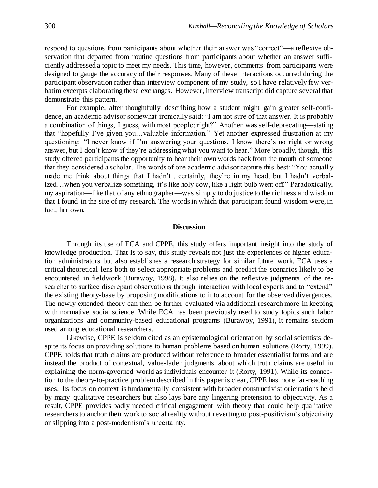respond to questions from participants about whether their answer was "correct"—a reflexive observation that departed from routine questions from participants about whether an answer sufficiently addressed a topic to meet my needs. This time, however, comments from participants were designed to gauge the accuracy of their responses. Many of these interactions occurred during the participant observation rather than interview component of my study, so I have relatively few verbatim excerpts elaborating these exchanges. However, interview transcript did capture several that demonstrate this pattern.

For example, after thoughtfully describing how a student might gain greater self-confidence, an academic advisor somewhat ironically said: "I am not sure of that answer. It is probably a combination of things, I guess, with most people; right?" Another was self-deprecating—stating that "hopefully I've given you…valuable information." Yet another expressed frustration at my questioning: "I never know if I'm answering your questions. I know there's no right or wrong answer, but I don't know if they're addressing what you want to hear." More broadly, though, this study offered participants the opportunity to hear their own words back from the mouth of someone that they considered a scholar. The words of one academic advisor capture this best: "You actuall y made me think about things that I hadn't…certainly, they're in my head, but I hadn't verbalized…when you verbalize something, it's like holy cow, like a light bulb went off." Paradoxically, my aspiration—like that of any ethnographer—was simply to do justice to the richness and wisdom that I found in the site of my research. The words in which that participant found wisdom were, in fact, her own.

# **Discussion**

Through its use of ECA and CPPE, this study offers important insight into the study of knowledge production. That is to say, this study reveals not just the experiences of higher education administrators but also establishes a research strategy for similar future work. ECA uses a critical theoretical lens both to select appropriate problems and predict the scenarios likely to be encountered in fieldwork (Burawoy, 1998). It also relies on the reflexive judgments of the researcher to surface discrepant observations through interaction with local experts and to "extend" the existing theory-base by proposing modifications to it to account for the observed divergences. The newly extended theory can then be further evaluated via additional research more in keeping with normative social science. While ECA has been previously used to study topics such labor organizations and community-based educational programs (Burawoy, 1991), it remains seldom used among educational researchers.

Likewise, CPPE is seldom cited as an epistemological orientation by social scientists despite its focus on providing solutions to human problems based on human solutions (Rorty, 1999). CPPE holds that truth claims are produced without reference to broader essentialist forms and are instead the product of contextual, value-laden judgments about which truth claims are useful in explaining the norm-governed world as individuals encounter it (Rorty, 1991). While its connection to the theory-to-practice problem described in this paper is clear, CPPE has more far-reaching uses. Its focus on context is fundamentally consistent with broader constructivist orientations held by many qualitative researchers but also lays bare any lingering pretension to objectivity. As a result, CPPE provides badly needed critical engagement with theory that could help qualitative researchers to anchor their work to social reality without reverting to post-positivism's objectivity or slipping into a post-modernism's uncertainty.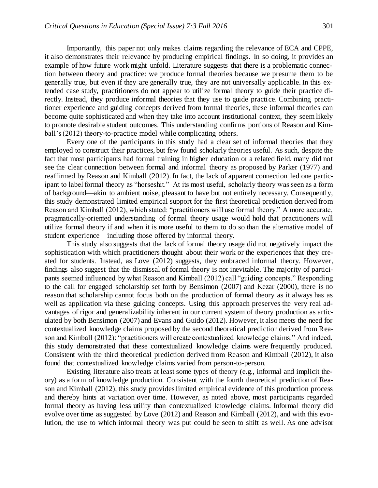Importantly, this paper not only makes claims regarding the relevance of ECA and CPPE, it also demonstrates their relevance by producing empirical findings. In so doing, it provides an example of how future work might unfold. Literature suggests that there is a problematic connection between theory and practice: we produce formal theories because we presume them to be generally true, but even if they are generally true, they are not universally applicable. In this extended case study, practitioners do not appear to utilize formal theory to guide their practice directly. Instead, they produce informal theories that they use to guide practice. Combining practitioner experience and guiding concepts derived from formal theories, these informal theories can become quite sophisticated and when they take into account institutional context, they seem likely to promote desirable student outcomes. This understanding confirms portions of Reason and Kimball's (2012) theory-to-practice model while complicating others.

Every one of the participants in this study had a clear set of informal theories that they employed to construct their practices, but few found scholarly theories useful. As such, despite the fact that most participants had formal training in higher education or a related field, many did not see the clear connection between formal and informal theory as proposed by Parker (1977) and reaffirmed by Reason and Kimball (2012). In fact, the lack of apparent connection led one participant to label formal theory as "horseshit." At its most useful, scholarly theory was seen as a form of background—akin to ambient noise, pleasant to have but not entirely necessary. Consequently, this study demonstrated limited empirical support for the first theoretical prediction derived from Reason and Kimball (2012), which stated: "practitioners will use formal theory." A more accurate, pragmatically-oriented understanding of formal theory usage would hold that practitioners will utilize formal theory if and when it is more useful to them to do so than the alternative model of student experience—including those offered by informal theory.

This study also suggests that the lack of formal theory usage did not negatively impact the sophistication with which practitioners thought about their work or the experiences that they created for students. Instead, as Love (2012) suggests, they embraced informal theory. However, findings also suggest that the dismissal of formal theory is not inevitable. The majority of participants seemed influenced by what Reason and Kimball (2012) call "guiding concepts." Responding to the call for engaged scholarship set forth by Bensimon (2007) and Kezar (2000), there is no reason that scholarship cannot focus both on the production of formal theory as it always has as well as application via these guiding concepts. Using this approach preserves the very real advantages of rigor and generalizability inherent in our current system of theory production as articulated by both Bensimon (2007) and Evans and Guido (2012). However, it also meets the need for contextualized knowledge claims proposed by the second theoretical prediction derived from Reason and Kimball (2012): "practitioners will create contextualized knowledge claims." And indeed, this study demonstrated that these contextualized knowledge claims were frequently produced. Consistent with the third theoretical prediction derived from Reason and Kimball (2012), it also found that contextualized knowledge claims varied from person-to-person.

Existing literature also treats at least some types of theory (e.g., informal and implicit theory) as a form of knowledge production. Consistent with the fourth theoretical prediction of Reason and Kimball (2012), this study provides limited empirical evidence of this production process and thereby hints at variation over time. However, as noted above, most participants regarded formal theory as having less utility than contextualized knowledge claims. Informal theory did evolve over time as suggested by Love (2012) and Reason and Kimball (2012), and with this evolution, the use to which informal theory was put could be seen to shift as well. As one advisor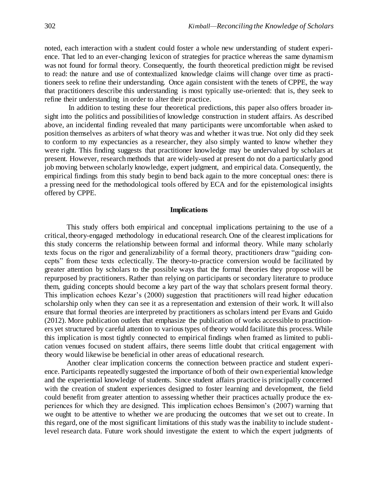noted, each interaction with a student could foster a whole new understanding of student experience. That led to an ever-changing lexicon of strategies for practice whereas the same dynamism was not found for formal theory. Consequently, the fourth theoretical prediction might be revised to read: the nature and use of contextualized knowledge claims will change over time as practitioners seek to refine their understanding. Once again consistent with the tenets of CPPE, the way that practitioners describe this understanding is most typically use-oriented: that is, they seek to refine their understanding in order to alter their practice.

In addition to testing these four theoretical predictions, this paper also offers broader insight into the politics and possibilities of knowledge construction in student affairs. As described above, an incidental finding revealed that many participants were uncomfortable when asked to position themselves as arbiters of what theory was and whether it was true. Not only did they seek to conform to my expectancies as a researcher, they also simply wanted to know whether they were right. This finding suggests that practitioner knowledge may be undervalued by scholars at present. However, research methods that are widely-used at present do not do a particularly good job moving between scholarly knowledge, expert judgment, and empirical data. Consequently, the empirical findings from this study begin to bend back again to the more conceptual ones: there is a pressing need for the methodological tools offered by ECA and for the epistemological insights offered by CPPE.

## **Implications**

This study offers both empirical and conceptual implications pertaining to the use of a critical, theory-engaged methodology in educational research. One of the clearest implications for this study concerns the relationship between formal and informal theory. While many scholarly texts focus on the rigor and generalizability of a formal theory, practitioners draw "guiding concepts" from these texts eclectically. The theory-to-practice conversion would be facilitated by greater attention by scholars to the possible ways that the formal theories they propose will be repurposed by practitioners. Rather than relying on participants or secondary literature to produce them, guiding concepts should become a key part of the way that scholars present formal theory. This implication echoes Kezar's (2000) suggestion that practitioners will read higher education scholarship only when they can see it as a representation and extension of their work. It will also ensure that formal theories are interpreted by practitioners as scholars intend per Evans and Guido (2012). More publication outlets that emphasize the publication of works accessible to practitioners yet structured by careful attention to various types of theory would facilitate this process. While this implication is most tightly connected to empirical findings when framed as limited to publication venues focused on student affairs, there seems little doubt that critical engagement with theory would likewise be beneficial in other areas of educational research.

Another clear implication concerns the connection between practice and student experience. Participants repeatedly suggested the importance of both of their own experiential knowledge and the experiential knowledge of students. Since student affairs practice is principally concerned with the creation of student experiences designed to foster learning and development, the field could benefit from greater attention to assessing whether their practices actually produce the experiences for which they are designed. This implication echoes Bensimon's (2007) warning that we ought to be attentive to whether we are producing the outcomes that we set out to create. In this regard, one of the most significant limitations of this study was the inability to include studentlevel research data. Future work should investigate the extent to which the expert judgments of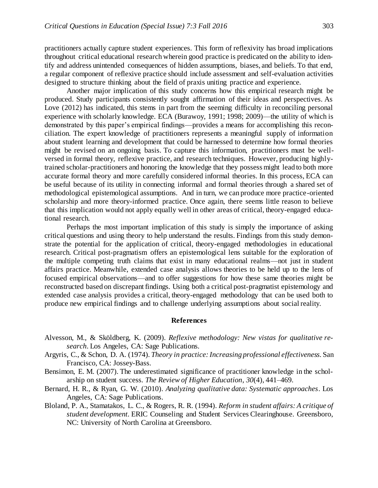practitioners actually capture student experiences. This form of reflexivity has broad implications throughout critical educational research wherein good practice is predicated on the ability to identify and address unintended consequences of hidden assumptions, biases, and beliefs. To that end, a regular component of reflexive practice should include assessment and self-evaluation activities designed to structure thinking about the field of praxis uniting practice and experience.

Another major implication of this study concerns how this empirical research might be produced. Study participants consistently sought affirmation of their ideas and perspectives. As Love (2012) has indicated, this stems in part from the seeming difficulty in reconciling personal experience with scholarly knowledge. ECA (Burawoy, 1991; 1998; 2009)—the utility of which is demonstrated by this paper's empirical findings—provides a means for accomplishing this reconciliation. The expert knowledge of practitioners represents a meaningful supply of information about student learning and development that could be harnessed to determine how formal theories might be revised on an ongoing basis. To capture this information, practitioners must be wellversed in formal theory, reflexive practice, and research techniques. However, producing highlytrained scholar-practitioners and honoring the knowledge that they possess might lead to both more accurate formal theory and more carefully considered informal theories. In this process, ECA can be useful because of its utility in connecting informal and formal theories through a shared set of methodological epistemological assumptions. And in turn, we can produce more practice-oriented scholarship and more theory-informed practice. Once again, there seems little reason to believe that this implication would not apply equally well in other areas of critical, theory-engaged educational research.

Perhaps the most important implication of this study is simply the importance of asking critical questions and using theory to help understand the results. Findings from this study demonstrate the potential for the application of critical, theory-engaged methodologies in educational research. Critical post-pragmatism offers an epistemological lens suitable for the exploration of the multiple competing truth claims that exist in many educational realms—not just in student affairs practice. Meanwhile, extended case analysis allows theories to be held up to the lens of focused empirical observations—and to offer suggestions for how these same theories might be reconstructed based on discrepant findings. Using both a critical post-pragmatist epistemology and extended case analysis provides a critical, theory-engaged methodology that can be used both to produce new empirical findings and to challenge underlying assumptions about social reality.

## **References**

- Alvesson, M., & Sköldberg, K. (2009). *Reflexive methodology: New vistas for qualitative research*. Los Angeles, CA: Sage Publications.
- Argyris, C., & Schon, D. A. (1974). *Theory in practice: Increasing professional effectiveness.* San Francisco, CA: Jossey-Bass.
- Bensimon, E. M. (2007). The underestimated significance of practitioner knowledge in the scholarship on student success. *The Review of Higher Education*, *30*(4), 441–469.
- Bernard, H. R., & Ryan, G. W. (2010). *Analyzing qualitative data: Systematic approaches*. Los Angeles, CA: Sage Publications.
- Bloland, P. A., Stamatakos, L. C., & Rogers, R. R. (1994). *Reform in student affairs: A critique of student development.* ERIC Counseling and Student Services Clearinghouse. Greensboro, NC: University of North Carolina at Greensboro.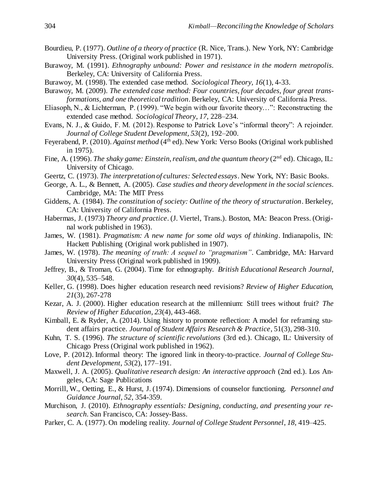- Bourdieu, P. (1977). *Outline of a theory of practice* (R. Nice, Trans.). New York, NY: Cambridge University Press. (Original work published in 1971).
- Burawoy, M. (1991). *Ethnography unbound: Power and resistance in the modern metropolis*. Berkeley, CA: University of California Press.
- Burawoy, M. (1998). The extended case method. *Sociological Theory, 16*(1), 4-33.
- Burawoy, M. (2009). *The extended case method: Four countries, four decades, four great transformations, and one theoretical tradition*. Berkeley, CA: University of California Press.
- Eliasoph, N., & Lichterman, P. (1999). "We begin with our favorite theory…": Reconstructing the extended case method. *Sociological Theory*, *17*, 228–234.
- Evans, N. J., & Guido, F. M. (2012). Response to Patrick Love's "informal theory": A rejoinder. *Journal of College Student Development, 53*(2), 192–200.
- Feyerabend, P. (2010). *Against method* (4<sup>th</sup> ed). New York: Verso Books (Original work published in 1975).
- Fine, A. (1996). *The shaky game: Einstein, realism, and the quantum theory* (2<sup>nd</sup> ed). Chicago, IL: University of Chicago.
- Geertz, C. (1973). *The interpretation of cultures: Selected essays*. New York, NY: Basic Books.
- George, A. L., & Bennett, A. (2005). *Case studies and theory development in the social sciences*. Cambridge, MA: The MIT Press
- Giddens, A. (1984). *The constitution of society: Outline of the theory of structuration*. Berkeley, CA: University of California Press.
- Habermas, J. (1973) *Theory and practice*. (J. Viertel, Trans.). Boston, MA: Beacon Press. (Original work published in 1963).
- James, W. (1981). *Pragmatism: A new name for some old ways of thinking*. Indianapolis, IN: Hackett Publishing (Original work published in 1907).
- James, W. (1978). *The meaning of truth: A sequel to "pragmatism"*. Cambridge, MA: Harvard University Press (Original work published in 1909).
- Jeffrey, B., & Troman, G. (2004). Time for ethnography. *British Educational Research Journal*, *30*(4), 535–548.
- Keller, G. (1998). Does higher education research need revisions? *Review of Higher Education, 21*(3), 267-278
- Kezar, A. J. (2000). Higher education research at the millennium: Still trees without fruit? *The Review of Higher Education*, *23*(4), 443-468.
- Kimball, E. & Ryder, A. (2014). Using history to promote reflection: A model for reframing student affairs practice. *Journal of Student Affairs Research & Practice*, 51(3), 298-310.
- Kuhn, T. S. (1996). *The structure of scientific revolutions* (3rd ed.). Chicago, IL: University of Chicago Press (Original work published in 1962).
- Love, P. (2012). Informal theory: The ignored link in theory-to-practice. *Journal of College Student Development*, *53*(2), 177–191.
- Maxwell, J. A. (2005). *Qualitative research design: An interactive approach* (2nd ed.). Los Angeles, CA: Sage Publications
- Morrill, W., Oetting, E., & Hurst, J. (1974). Dimensions of counselor functioning. *Personnel and Guidance Journal, 52*, 354-359.
- Murchison, J. (2010). *Ethnography essentials: Designing, conducting, and presenting your research*. San Francisco, CA: Jossey-Bass.
- Parker, C. A. (1977). On modeling reality. *Journal of College Student Personnel*, *18*, 419–425.